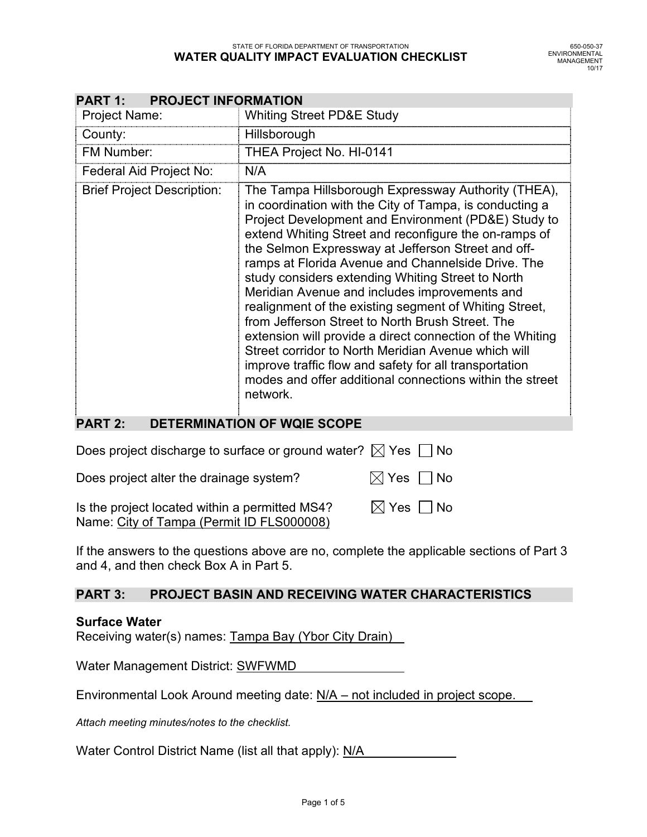| <b>PROJECT INFORMATION</b><br><b>PART 1:</b> |                                                                                                                                                                                                                                                                                                                                                                                                                                                                                                                                                                                                                                                                                                                                                                                                                      |  |  |  |  |
|----------------------------------------------|----------------------------------------------------------------------------------------------------------------------------------------------------------------------------------------------------------------------------------------------------------------------------------------------------------------------------------------------------------------------------------------------------------------------------------------------------------------------------------------------------------------------------------------------------------------------------------------------------------------------------------------------------------------------------------------------------------------------------------------------------------------------------------------------------------------------|--|--|--|--|
| <b>Project Name:</b>                         | <b>Whiting Street PD&amp;E Study</b>                                                                                                                                                                                                                                                                                                                                                                                                                                                                                                                                                                                                                                                                                                                                                                                 |  |  |  |  |
| County:                                      | Hillsborough                                                                                                                                                                                                                                                                                                                                                                                                                                                                                                                                                                                                                                                                                                                                                                                                         |  |  |  |  |
| <b>FM Number:</b>                            | THEA Project No. HI-0141                                                                                                                                                                                                                                                                                                                                                                                                                                                                                                                                                                                                                                                                                                                                                                                             |  |  |  |  |
| Federal Aid Project No:                      | N/A                                                                                                                                                                                                                                                                                                                                                                                                                                                                                                                                                                                                                                                                                                                                                                                                                  |  |  |  |  |
| <b>Brief Project Description:</b>            | The Tampa Hillsborough Expressway Authority (THEA),<br>in coordination with the City of Tampa, is conducting a<br>Project Development and Environment (PD&E) Study to<br>extend Whiting Street and reconfigure the on-ramps of<br>the Selmon Expressway at Jefferson Street and off-<br>ramps at Florida Avenue and Channelside Drive. The<br>study considers extending Whiting Street to North<br>Meridian Avenue and includes improvements and<br>realignment of the existing segment of Whiting Street,<br>from Jefferson Street to North Brush Street. The<br>extension will provide a direct connection of the Whiting<br>Street corridor to North Meridian Avenue which will<br>improve traffic flow and safety for all transportation<br>modes and offer additional connections within the street<br>network. |  |  |  |  |

### **PART 2: DETERMINATION OF WQIE SCOPE**

| Does project discharge to surface or ground water? $\boxtimes$ Yes $\Box$ No |                             |  |
|------------------------------------------------------------------------------|-----------------------------|--|
| Does project alter the drainage system?                                      | $\boxtimes$ Yes $\,\Box$ No |  |

Is the project located within a permitted MS4?  $\boxtimes$  Yes  $\Box$  No Name: City of Tampa (Permit ID FLS000008)

If the answers to the questions above are no, complete the applicable sections of Part 3 and 4, and then check Box A in Part 5.

### **PART 3: PROJECT BASIN AND RECEIVING WATER CHARACTERISTICS**

### **Surface Water**

Receiving water(s) names: Tampa Bay (Ybor City Drain)

Water Management District: SWFWMD

Environmental Look Around meeting date: N/A – not included in project scope.

*Attach meeting minutes/notes to the checklist.* 

Water Control District Name (list all that apply): N/A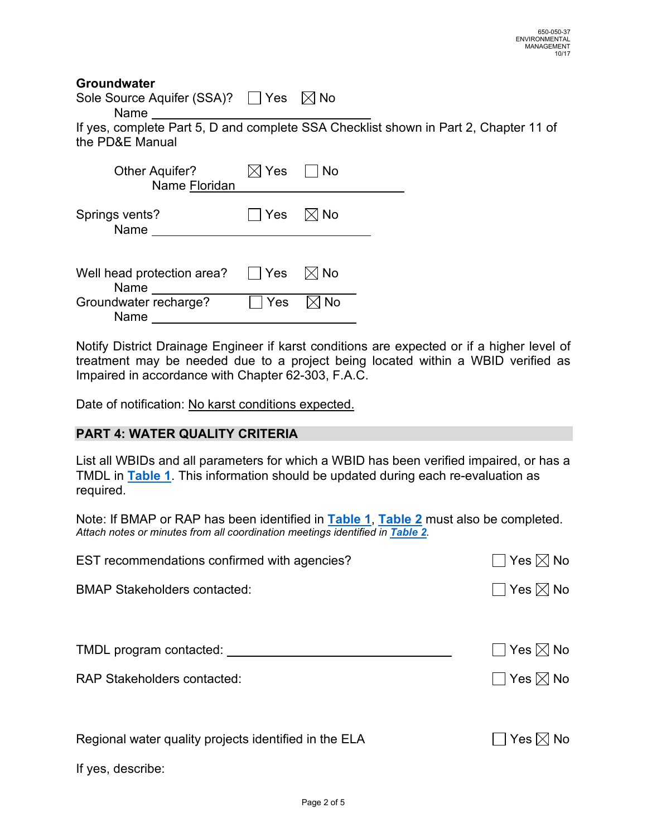## **Groundwater**

| Sole Source Aquifer (SSA)? $\quad \Box$ Yes $\quad \boxtimes$ No |  |  |
|------------------------------------------------------------------|--|--|
| Name                                                             |  |  |

If yes, complete Part 5, D and complete SSA Checklist shown in Part 2, Chapter 11 of the PD&E Manual

| <b>Other Aquifer?</b><br>Name Floridan | $\boxtimes$ Yes $\quad$ $\mid$ | No |  |
|----------------------------------------|--------------------------------|----|--|
| Springs vents?<br>Name                 | ∣ ∣Yes ∑√No                    |    |  |
| Well head protection area?<br>Name     | $\Box$ Yes $\Box$ No           |    |  |
| Groundwater recharge?<br>Name          | Yes                            | No |  |

Notify District Drainage Engineer if karst conditions are expected or if a higher level of treatment may be needed due to a project being located within a WBID verified as Impaired in accordance with Chapter 62-303, F.A.C.

Date of notification: No karst conditions expected.

## **PART 4: WATER QUALITY CRITERIA**

List all WBIDs and all parameters for which a WBID has been verified impaired, or has a TMDL in **Table 1**. This information should be updated during each re-evaluation as required.

Note: If BMAP or RAP has been identified in **Table 1**, **Table 2** must also be completed. *Attach notes or minutes from all coordination meetings identified in Table 2.* 

| EST recommendations confirmed with agencies?          | $\Box$ Yes $\boxtimes$ No |
|-------------------------------------------------------|---------------------------|
| <b>BMAP Stakeholders contacted:</b>                   | $\Box$ Yes $\boxtimes$ No |
|                                                       |                           |
| TMDL program contacted:                               | $\Box$ Yes $\boxtimes$ No |
| <b>RAP Stakeholders contacted:</b>                    | $\Box$ Yes $\boxtimes$ No |
|                                                       |                           |
| Regional water quality projects identified in the ELA | $\Box$ Yes $\boxtimes$ No |
| If yes, describe:                                     |                           |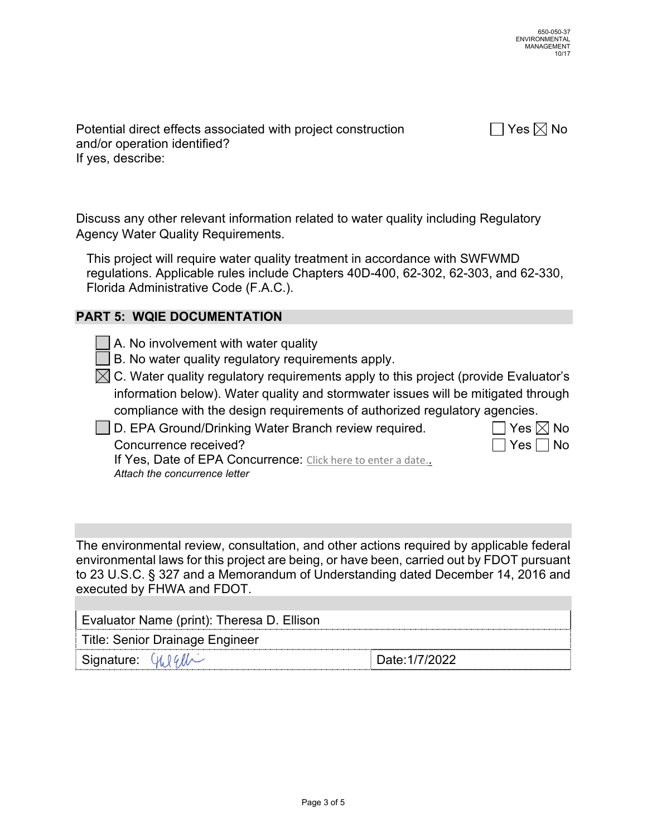Potential direct effects associated with project construction  $\Box$  Yes  $\boxtimes$  No and/or operation identified? If yes, describe:

Discuss any other relevant information related to water quality including Regulatory Agency Water Quality Requirements.

This project will require water quality treatment in accordance with SWFWMD regulations. Applicable rules include Chapters 40D-400, 62-302, 62-303, and 62-330, Florida Administrative Code (F.A.C.).

# **PART 5: WQIE DOCUMENTATION**

- $\Box$  A. No involvement with water quality
- $\Box$  B. No water quality requiatory requirements apply.
- $\boxtimes$  C. Water quality regulatory requirements apply to this project (provide Evaluator's information below). Water quality and stormwater issues will be mitigated through compliance with the design requirements of authorized regulatory agencies.

 $\Box$  D. EPA Ground/Drinking Water Branch review required.

| D. EPA Ground/Drinking Water Branch review required. | │ │Yes  ╳ No         |  |
|------------------------------------------------------|----------------------|--|
| Concurrence received?                                | $\Box$ Yes $\Box$ No |  |

If Yes, Date of EPA Concurrence: Click here to enter a date.. *Attach the concurrence letter* 

The environmental review, consultation, and other actions required by applicable federal environmental laws for this project are being, or have been, carried out by FDOT pursuant to 23 U.S.C. § 327 and a Memorandum of Understanding dated December 14, 2016 and executed by FHWA and FDOT.

| Evaluator Name (print): Theresa D. Ellison           |                |  |  |
|------------------------------------------------------|----------------|--|--|
| Title: Senior Drainage Engineer                      |                |  |  |
| $\vert$ Signature: $\mathcal{U}\setminus\mathcal{U}$ | Date: 1/7/2022 |  |  |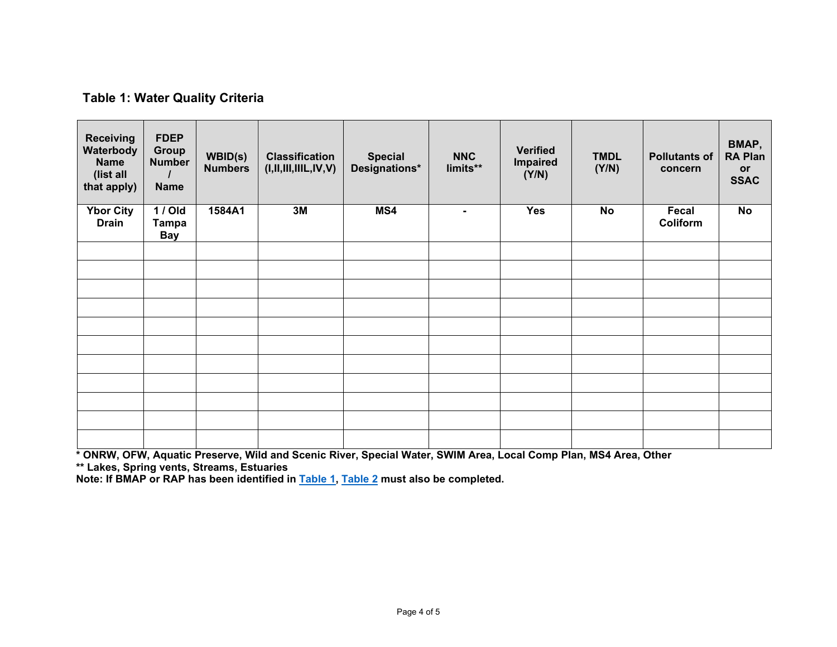## **Table 1: Water Quality Criteria**

| <b>Receiving</b><br>Waterbody<br><b>Name</b><br>(list all<br>that apply) | <b>FDEP</b><br><b>Group</b><br><b>Number</b><br><b>Name</b> | <b>WBID(s)</b><br><b>Numbers</b> | <b>Classification</b><br>(I, II, III, IIIL, IV, V) | <b>Special</b><br>Designations* | <b>NNC</b><br>limits** | <b>Verified</b><br><b>Impaired</b><br>(Y/N) | <b>TMDL</b><br>(Y/N) | <b>Pollutants of</b><br>concern | BMAP,<br><b>RA Plan</b><br>or<br><b>SSAC</b> |
|--------------------------------------------------------------------------|-------------------------------------------------------------|----------------------------------|----------------------------------------------------|---------------------------------|------------------------|---------------------------------------------|----------------------|---------------------------------|----------------------------------------------|
| <b>Ybor City</b><br><b>Drain</b>                                         | 1 / Old<br><b>Tampa</b><br><b>Bay</b>                       | 1584A1                           | 3M                                                 | MS4                             | ۰.                     | <b>Yes</b>                                  | <b>No</b>            | Fecal<br>Coliform               | <b>No</b>                                    |
|                                                                          |                                                             |                                  |                                                    |                                 |                        |                                             |                      |                                 |                                              |
|                                                                          |                                                             |                                  |                                                    |                                 |                        |                                             |                      |                                 |                                              |
|                                                                          |                                                             |                                  |                                                    |                                 |                        |                                             |                      |                                 |                                              |
|                                                                          |                                                             |                                  |                                                    |                                 |                        |                                             |                      |                                 |                                              |
|                                                                          |                                                             |                                  |                                                    |                                 |                        |                                             |                      |                                 |                                              |
|                                                                          |                                                             |                                  |                                                    |                                 |                        |                                             |                      |                                 |                                              |
|                                                                          |                                                             |                                  |                                                    |                                 |                        |                                             |                      |                                 |                                              |
|                                                                          |                                                             |                                  |                                                    |                                 |                        |                                             |                      |                                 |                                              |
|                                                                          |                                                             |                                  |                                                    |                                 |                        |                                             |                      |                                 |                                              |
|                                                                          |                                                             |                                  |                                                    |                                 |                        |                                             |                      |                                 |                                              |
|                                                                          |                                                             |                                  |                                                    |                                 |                        |                                             |                      |                                 |                                              |

\* ONRW, OFW, Aquatic Preserve, Wild and Scenic River, Special Water, SWIM Area, Local Comp Plan, MS4 Area, Other<br>\*\* Lakes, Spring vents, Streams, Estuaries<br>Note: If BMAP or RAP has been identified in <mark>Table 1, Table 2</mark> mus